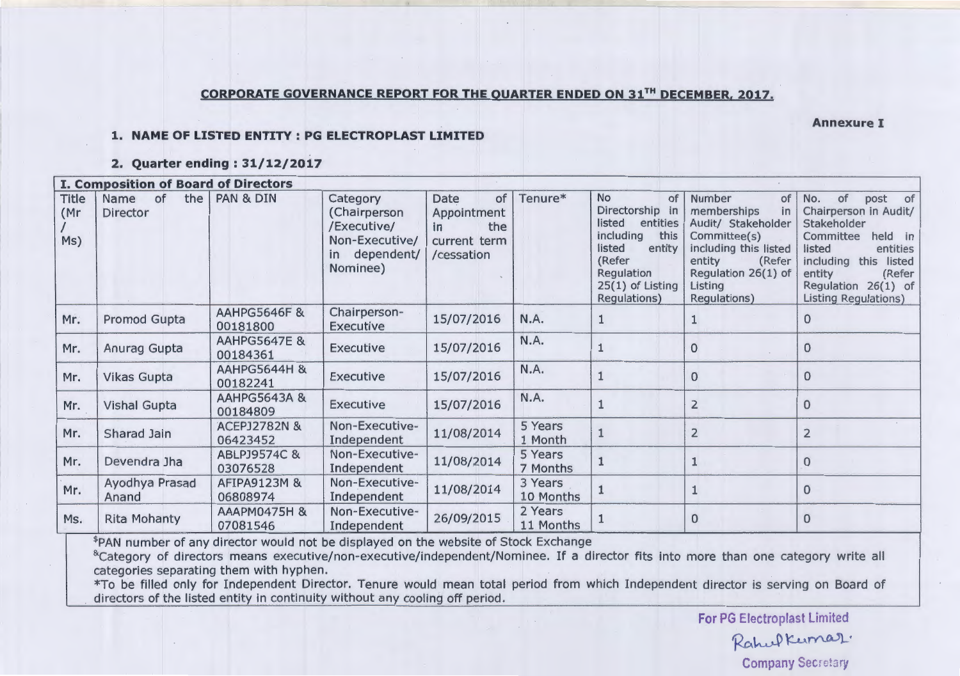## **CORPORATE GOVERNANCE REPORT FOR THE OUARTER ENDED ON 31TH DECEMBER, 2017.**

**Annexure I** 

#### **1. NAME OF LISTED ENTITY : PG ELECTROPLAST LIMITED**

#### **2. Quarter ending : 31/12/2017**

|                             | <b>I. Composition of Board of Directors</b> |                                     |                                                                                        |                                                                       |                      |                                                                                                                                                                 |                                                                                                                                                                        |                                                                                                                                                                                                        |
|-----------------------------|---------------------------------------------|-------------------------------------|----------------------------------------------------------------------------------------|-----------------------------------------------------------------------|----------------------|-----------------------------------------------------------------------------------------------------------------------------------------------------------------|------------------------------------------------------------------------------------------------------------------------------------------------------------------------|--------------------------------------------------------------------------------------------------------------------------------------------------------------------------------------------------------|
| <b>Title</b><br>(Mr)<br>Ms) | the<br>Name<br>0f<br>Director               | <b>PAN &amp; DIN</b>                | Category<br>(Chairperson<br>/Executive/<br>Non-Executive/<br>in dependent/<br>Nominee) | of<br>Date<br>Appointment<br>the<br>in.<br>current term<br>/cessation | Tenure*              | <b>No</b><br>of<br>Directorship in<br>listed<br>entities<br>including<br>this<br>listed<br>entity<br>(Refer<br>Regulation<br>$25(1)$ of Listing<br>Regulations) | Number<br>of<br>memberships<br>in<br>Audit/ Stakeholder<br>Committee(s)<br>including this listed<br>entity<br>(Refer<br>Regulation 26(1) of<br>Listing<br>Regulations) | No.<br>post of<br>of<br>Chairperson in Audit/<br>Stakeholder<br>held in<br>Committee<br>entities<br>listed<br>including this listed<br>entity<br>(Refer<br>Regulation 26(1) of<br>Listing Regulations) |
| Mr.                         | Promod Gupta                                | <b>AAHPG5646F &amp;</b><br>00181800 | Chairperson-<br><b>Executive</b>                                                       | 15/07/2016                                                            | N.A.                 |                                                                                                                                                                 |                                                                                                                                                                        | $\Omega$                                                                                                                                                                                               |
| Mr.                         | Anurag Gupta                                | <b>AAHPG5647E &amp;</b><br>00184361 | <b>Executive</b>                                                                       | 15/07/2016                                                            | N.A.                 |                                                                                                                                                                 | $\Omega$                                                                                                                                                               | 0                                                                                                                                                                                                      |
| Mr.                         | <b>Vikas Gupta</b>                          | AAHPG5644H &<br>00182241            | <b>Executive</b>                                                                       | 15/07/2016                                                            | N.A.                 |                                                                                                                                                                 | 0                                                                                                                                                                      | $\Omega$                                                                                                                                                                                               |
| Mr.                         | <b>Vishal Gupta</b>                         | <b>AAHPG5643A &amp;</b><br>00184809 | <b>Executive</b>                                                                       | 15/07/2016                                                            | N.A.                 |                                                                                                                                                                 | $\overline{2}$                                                                                                                                                         | $\bf{0}$                                                                                                                                                                                               |
| Mr.                         | Sharad Jain                                 | <b>ACEPJ2782N &amp;</b><br>06423452 | Non-Executive-<br>Independent                                                          | 11/08/2014                                                            | 5 Years<br>1 Month   |                                                                                                                                                                 | $\overline{2}$                                                                                                                                                         | $\overline{2}$                                                                                                                                                                                         |
| Mr.                         | Devendra Jha                                | ABLPJ9574C &<br>03076528            | Non-Executive-<br>Independent                                                          | 11/08/2014                                                            | 5 Years<br>7 Months  |                                                                                                                                                                 |                                                                                                                                                                        | $\mathbf 0$                                                                                                                                                                                            |
| Mr.                         | Ayodhya Prasad<br>Anand                     | <b>AFIPA9123M &amp;</b><br>06808974 | Non-Executive-<br>Independent                                                          | 11/08/2014                                                            | 3 Years<br>10 Months |                                                                                                                                                                 |                                                                                                                                                                        | $\mathbf 0$                                                                                                                                                                                            |
| Ms.                         | <b>Rita Mohanty</b>                         | AAAPM0475H &<br>07081546            | Non-Executive-<br>Independent                                                          | 26/09/2015                                                            | 2 Years<br>11 Months |                                                                                                                                                                 | $\mathbf{0}$                                                                                                                                                           | $\Omega$                                                                                                                                                                                               |

\$PAN number of any director would not be displayed on the website of Stock Exchange

<sup>&</sup>Category of directors means executive/non-executive/independent/Nominee. If a director fits into more than one category write all categories separating them with hyphen.

\*To be filled only for Independent Director. Tenure would mean total period from which Independent director is serving on Board of directors of the listed entity in continuity without any cooling off period.

> **For** PG Electroplast Limited Rahul Kumar. Company Secretary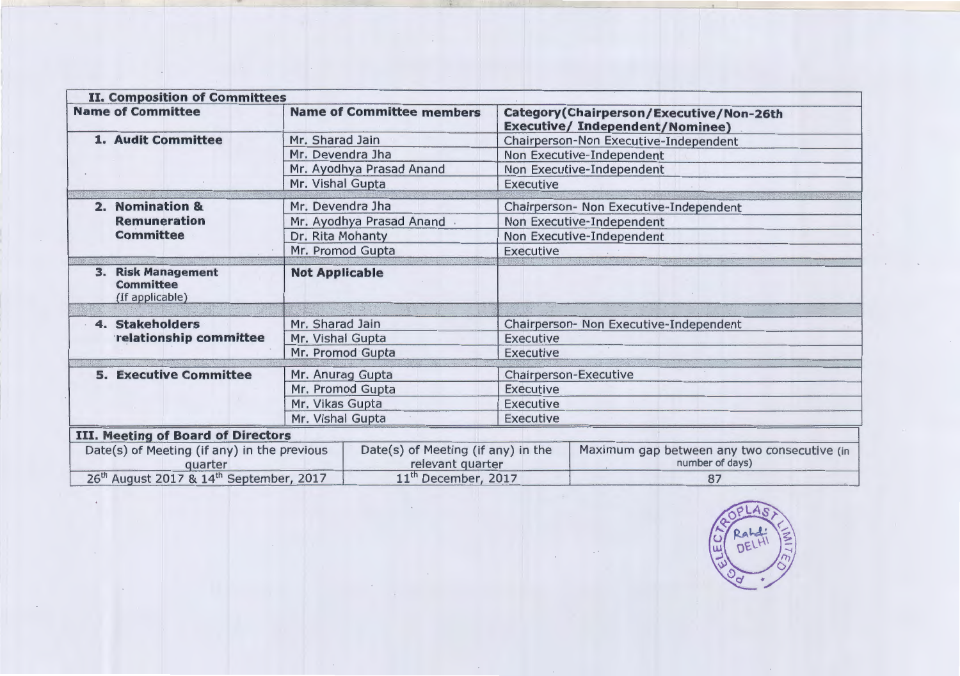| <b>II. Composition of Committees</b>                                |                                                        |                                                       |                                                                |                                                                                   |  |  |
|---------------------------------------------------------------------|--------------------------------------------------------|-------------------------------------------------------|----------------------------------------------------------------|-----------------------------------------------------------------------------------|--|--|
| <b>Name of Committee</b>                                            |                                                        | <b>Name of Committee members</b>                      |                                                                | Category (Chairperson/Executive/Non-26th<br><b>Executive/Independent/Nominee)</b> |  |  |
| 1. Audit Committee                                                  | Mr. Sharad Jain                                        |                                                       | Chairperson-Non Executive-Independent                          |                                                                                   |  |  |
|                                                                     | Mr. Devendra Jha<br>Mr. Ayodhya Prasad Anand           |                                                       | Non Executive-Independent<br>Non Executive-Independent         |                                                                                   |  |  |
|                                                                     |                                                        |                                                       |                                                                |                                                                                   |  |  |
|                                                                     |                                                        | Mr. Vishal Gupta                                      |                                                                | <b>Executive</b>                                                                  |  |  |
| <b>Nomination &amp;</b><br>2.                                       |                                                        | Mr. Devendra Jha                                      |                                                                | Chairperson- Non Executive-Independent                                            |  |  |
| <b>Remuneration</b>                                                 |                                                        | Mr. Ayodhya Prasad Anand<br>Non Executive-Independent |                                                                |                                                                                   |  |  |
| <b>Committee</b>                                                    |                                                        | Dr. Rita Mohanty<br>Non Executive-Independent         |                                                                |                                                                                   |  |  |
|                                                                     |                                                        | Mr. Promod Gupta                                      | <b>Executive</b>                                               |                                                                                   |  |  |
| <b>Risk Management</b><br>3.<br><b>Committee</b><br>(If applicable) | <b>Not Applicable</b>                                  |                                                       |                                                                |                                                                                   |  |  |
| 4. Stakeholders                                                     | Mr. Sharad Jain                                        |                                                       | Chairperson- Non Executive-Independent                         |                                                                                   |  |  |
| relationship committee                                              | Mr. Vishal Gupta                                       |                                                       | Executive                                                      |                                                                                   |  |  |
|                                                                     | Mr. Promod Gupta                                       |                                                       | <b>Executive</b>                                               |                                                                                   |  |  |
|                                                                     |                                                        |                                                       |                                                                |                                                                                   |  |  |
| <b>5. Executive Committee</b>                                       | Mr. Anurag Gupta                                       |                                                       | Chairperson-Executive                                          |                                                                                   |  |  |
|                                                                     | Mr. Promod Gupta                                       |                                                       | <b>Executive</b>                                               |                                                                                   |  |  |
|                                                                     | Mr. Vikas Gupta                                        |                                                       | <b>Executive</b>                                               |                                                                                   |  |  |
|                                                                     | Mr. Vishal Gupta                                       |                                                       | Executive                                                      |                                                                                   |  |  |
| <b>III. Meeting of Board of Directors</b>                           |                                                        |                                                       |                                                                |                                                                                   |  |  |
| Date(s) of Meeting (if any) in the previous<br>quarter              | Date(s) of Meeting (if any) in the<br>relevant quarter |                                                       | Maximum gap between any two consecutive (in<br>number of days) |                                                                                   |  |  |
| 26 <sup>th</sup> August 2017 & 14 <sup>th</sup> September, 2017     | 11 <sup>th</sup> December, 2017                        |                                                       | 87                                                             |                                                                                   |  |  |

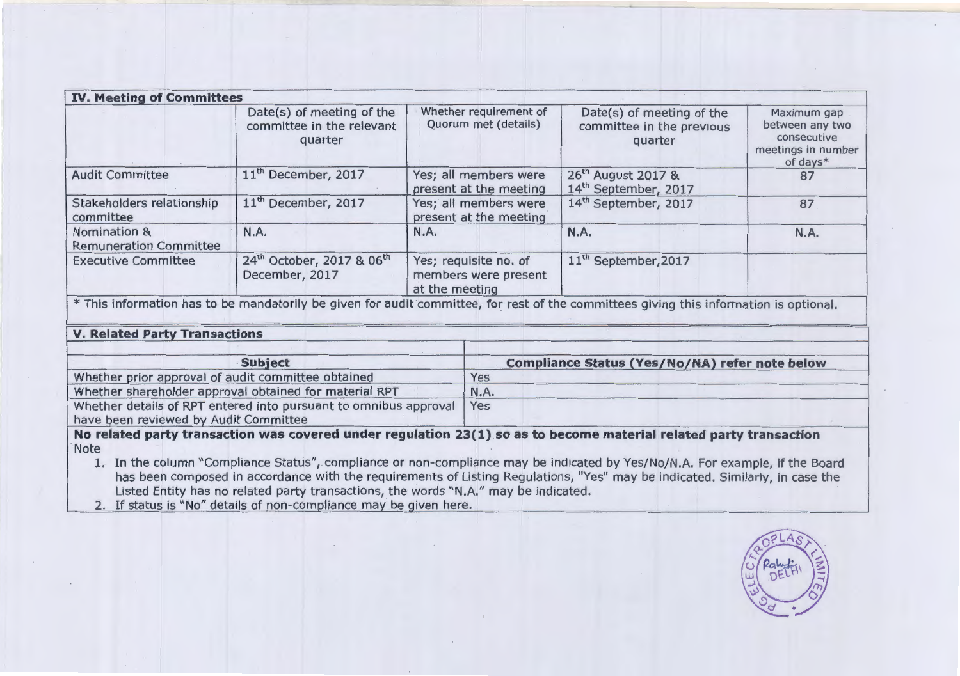| <b>IV. Meeting of Committees</b>              |                                                                     |                                                                 |                                                                    |                                                                                 |
|-----------------------------------------------|---------------------------------------------------------------------|-----------------------------------------------------------------|--------------------------------------------------------------------|---------------------------------------------------------------------------------|
|                                               | Date(s) of meeting of the<br>committee in the relevant<br>quarter   | Whether requirement of<br>Quorum met (details)                  | Date(s) of meeting of the<br>committee in the previous<br>quarter  | Maximum gap<br>between any two<br>consecutive<br>meetings in number<br>of days* |
| <b>Audit Committee</b>                        | 11 <sup>th</sup> December, 2017                                     | Yes; all members were<br>present at the meeting                 | 26 <sup>th</sup> August 2017 &<br>14 <sup>th</sup> September, 2017 | 87                                                                              |
| Stakeholders relationship<br>committee        | 11 <sup>th</sup> December, 2017                                     | Yes; all members were<br>present at the meeting                 | 14 <sup>th</sup> September, 2017                                   | 87                                                                              |
| Nomination &<br><b>Remuneration Committee</b> | N.A.                                                                | N.A.                                                            | N.A.                                                               | N.A.                                                                            |
| <b>Executive Committee</b>                    | 24 <sup>th</sup> October, 2017 & 06 <sup>th</sup><br>December, 2017 | Yes; requisite no. of<br>members were present<br>at the meeting | 11 <sup>th</sup> September, 2017                                   |                                                                                 |

\*This information has to be mandatorily be given for audit committee, for rest of the committees giving this information is optional.

## **V. Related Party Transactions**

| <b>Subject</b>                                                   | <b>Compliance Status (Yes/No/NA) refer note below</b> |
|------------------------------------------------------------------|-------------------------------------------------------|
| Whether prior approval of audit committee obtained               | Yes                                                   |
| Whether shareholder approval obtained for material RPT           | <b>N.A.</b>                                           |
| Whether details of RPT entered into pursuant to omnibus approval | Yes                                                   |
| have been reviewed by Audit Committee                            |                                                       |

**No related party transaction was covered under regulation 23(1) so as to become material related party transaction**  Note

1. In the column "Compliance Status", compliance or non-compliance may be indicated by Yes/No/N.A. For example, if the Board has been composed in accordance with the requirements of Listing Regulations, "Yes" may be indicated. Similarly, in case the Listed Entity has no related party transactions, the words "N.A." may be indicated.

2. If status is "No" details of non-compliance may be given here.